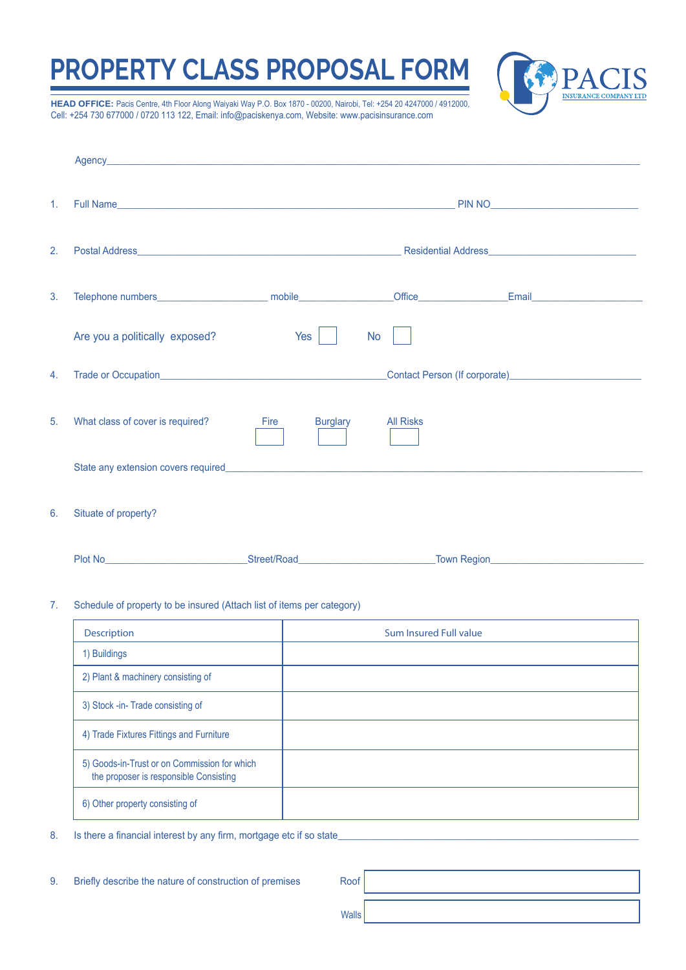## **PROPERTY CLASS PROPOSAL FORM**



**HEAD OFFICE:** Pacis Centre, 4th Floor Along Waiyaki Way P.O. Box 1870 - 00200, Nairobi, Tel: +254 20 4247000 / 4912000, Cell: +254 730 677000 / 0720 113 122, Email: info@paciskenya.com, Website: www.pacisinsurance.com

| $\mathbf{1}$ . |                                                                                                                                                                                                                                     |                         |                  |                                                                                                                                                                                                                                    |  |  |  |
|----------------|-------------------------------------------------------------------------------------------------------------------------------------------------------------------------------------------------------------------------------------|-------------------------|------------------|------------------------------------------------------------------------------------------------------------------------------------------------------------------------------------------------------------------------------------|--|--|--|
| 2.             |                                                                                                                                                                                                                                     |                         |                  |                                                                                                                                                                                                                                    |  |  |  |
| 3.             |                                                                                                                                                                                                                                     |                         |                  | Email <b>Email Email Account Contract Contract Contract Contract Contract Contract Contract Contract Contract Contract Contract Contract Contract Contract Contract Contract Contract Contract Contract Contract Contract Cont</b> |  |  |  |
|                | Are you a politically exposed?                                                                                                                                                                                                      | Yes                     | <b>No</b>        |                                                                                                                                                                                                                                    |  |  |  |
| 4.             |                                                                                                                                                                                                                                     |                         |                  |                                                                                                                                                                                                                                    |  |  |  |
| 5.             | What class of cover is required?                                                                                                                                                                                                    | <b>Burglary</b><br>Fire | <b>All Risks</b> |                                                                                                                                                                                                                                    |  |  |  |
|                | State any extension covers required <b>EXALC 2008</b> State and State and State and State and State and State and State and State and State and State and State and State and State and State and State and State and State and Sta |                         |                  |                                                                                                                                                                                                                                    |  |  |  |
| 6.             | Situate of property?                                                                                                                                                                                                                |                         |                  |                                                                                                                                                                                                                                    |  |  |  |
|                |                                                                                                                                                                                                                                     |                         |                  | Town Region <b>Constitution Constitution Constitution Constitution Constitution</b>                                                                                                                                                |  |  |  |
| 7.             | Schedule of property to be insured (Attach list of items per category)                                                                                                                                                              |                         |                  |                                                                                                                                                                                                                                    |  |  |  |

| <b>Description</b>                                                                     | <b>Sum Insured Full value</b> |
|----------------------------------------------------------------------------------------|-------------------------------|
| 1) Buildings                                                                           |                               |
| 2) Plant & machinery consisting of                                                     |                               |
| 3) Stock -in-Trade consisting of                                                       |                               |
| 4) Trade Fixtures Fittings and Furniture                                               |                               |
| 5) Goods-in-Trust or on Commission for which<br>the proposer is responsible Consisting |                               |
| 6) Other property consisting of                                                        |                               |

- 8. Is there a financial interest by any firm, mortgage etc if so state
- 9. Briefly describe the nature of construction of premises Roof

Walls